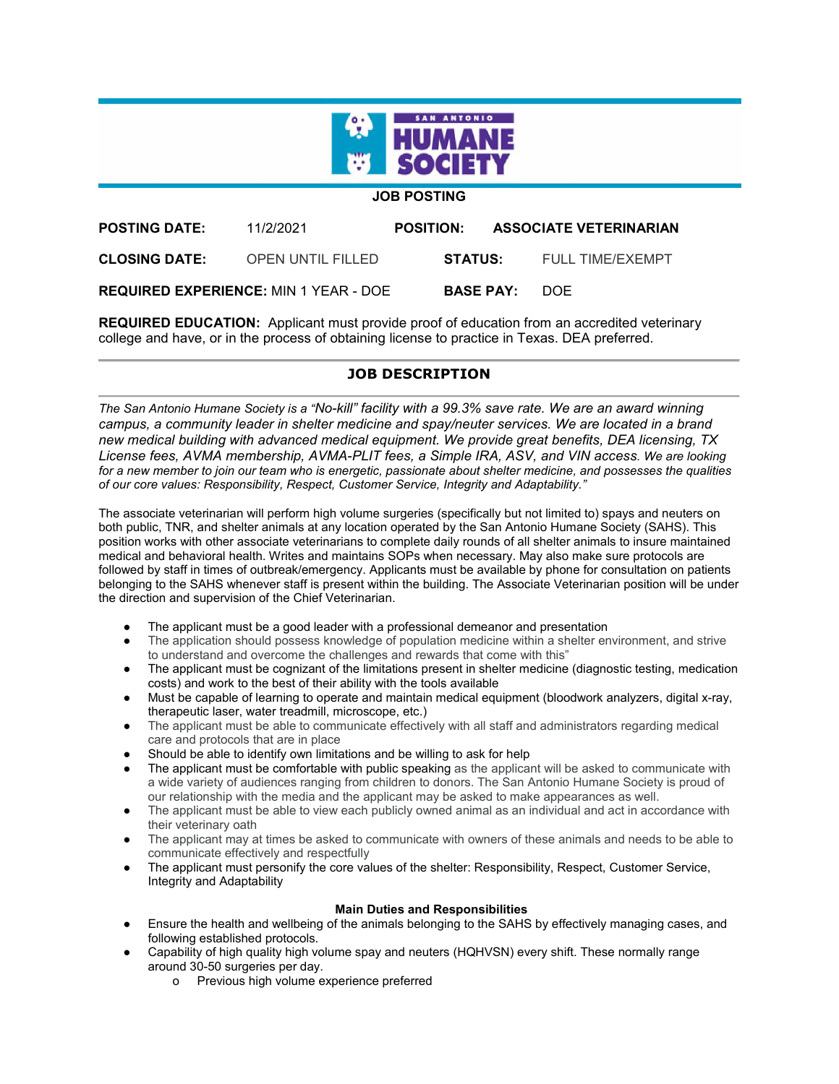

## **JOB POSTING**

| <b>POSTING DATE:</b> | 11/2/2021                                    | <b>POSITION:</b>     | <b>ASSOCIATE VETERINARIAN</b> |
|----------------------|----------------------------------------------|----------------------|-------------------------------|
| <b>CLOSING DATE:</b> | OPEN UNTIL FILLED                            | STATUS:              | <b>FULL TIME/EXEMPT</b>       |
|                      | <b>REQUIRED EXPERIENCE: MIN 1 YEAR - DOE</b> | <b>BASE PAY:</b> DOE |                               |

**REQUIRED EDUCATION:** Applicant must provide proof of education from an accredited veterinary college and have, or in the process of obtaining license to practice in Texas. DEA preferred.

# **JOB DESCRIPTION**

*The San Antonio Humane Society is a "No-kill" facility with a 99.3% save rate. We are an award winning campus, a community leader in shelter medicine and spay/neuter services. We are located in a brand new medical building with advanced medical equipment. We provide great benefits, DEA licensing, TX License fees, AVMA membership, AVMA-PLIT fees, a Simple IRA, ASV, and VIN access. We are looking for a new member to join our team who is energetic, passionate about shelter medicine, and possesses the qualities of our core values: Responsibility, Respect, Customer Service, Integrity and Adaptability."*

The associate veterinarian will perform high volume surgeries (specifically but not limited to) spays and neuters on both public, TNR, and shelter animals at any location operated by the San Antonio Humane Society (SAHS). This position works with other associate veterinarians to complete daily rounds of all shelter animals to insure maintained medical and behavioral health. Writes and maintains SOPs when necessary. May also make sure protocols are followed by staff in times of outbreak/emergency. Applicants must be available by phone for consultation on patients belonging to the SAHS whenever staff is present within the building. The Associate Veterinarian position will be under the direction and supervision of the Chief Veterinarian.

- The applicant must be a good leader with a professional demeanor and presentation
- The application should possess knowledge of population medicine within a shelter environment, and strive to understand and overcome the challenges and rewards that come with this"
- The applicant must be cognizant of the limitations present in shelter medicine (diagnostic testing, medication costs) and work to the best of their ability with the tools available
- Must be capable of learning to operate and maintain medical equipment (bloodwork analyzers, digital x-ray, therapeutic laser, water treadmill, microscope, etc.)
- The applicant must be able to communicate effectively with all staff and administrators regarding medical care and protocols that are in place
- Should be able to identify own limitations and be willing to ask for help
- The applicant must be comfortable with public speaking as the applicant will be asked to communicate with a wide variety of audiences ranging from children to donors. The San Antonio Humane Society is proud of our relationship with the media and the applicant may be asked to make appearances as well.
- The applicant must be able to view each publicly owned animal as an individual and act in accordance with their veterinary oath
- The applicant may at times be asked to communicate with owners of these animals and needs to be able to communicate effectively and respectfully
- The applicant must personify the core values of the shelter: Responsibility, Respect, Customer Service, Integrity and Adaptability

#### **Main Duties and Responsibilities**

- Ensure the health and wellbeing of the animals belonging to the SAHS by effectively managing cases, and following established protocols.
- Capability of high quality high volume spay and neuters (HQHVSN) every shift. These normally range around 30-50 surgeries per day.
	- o Previous high volume experience preferred